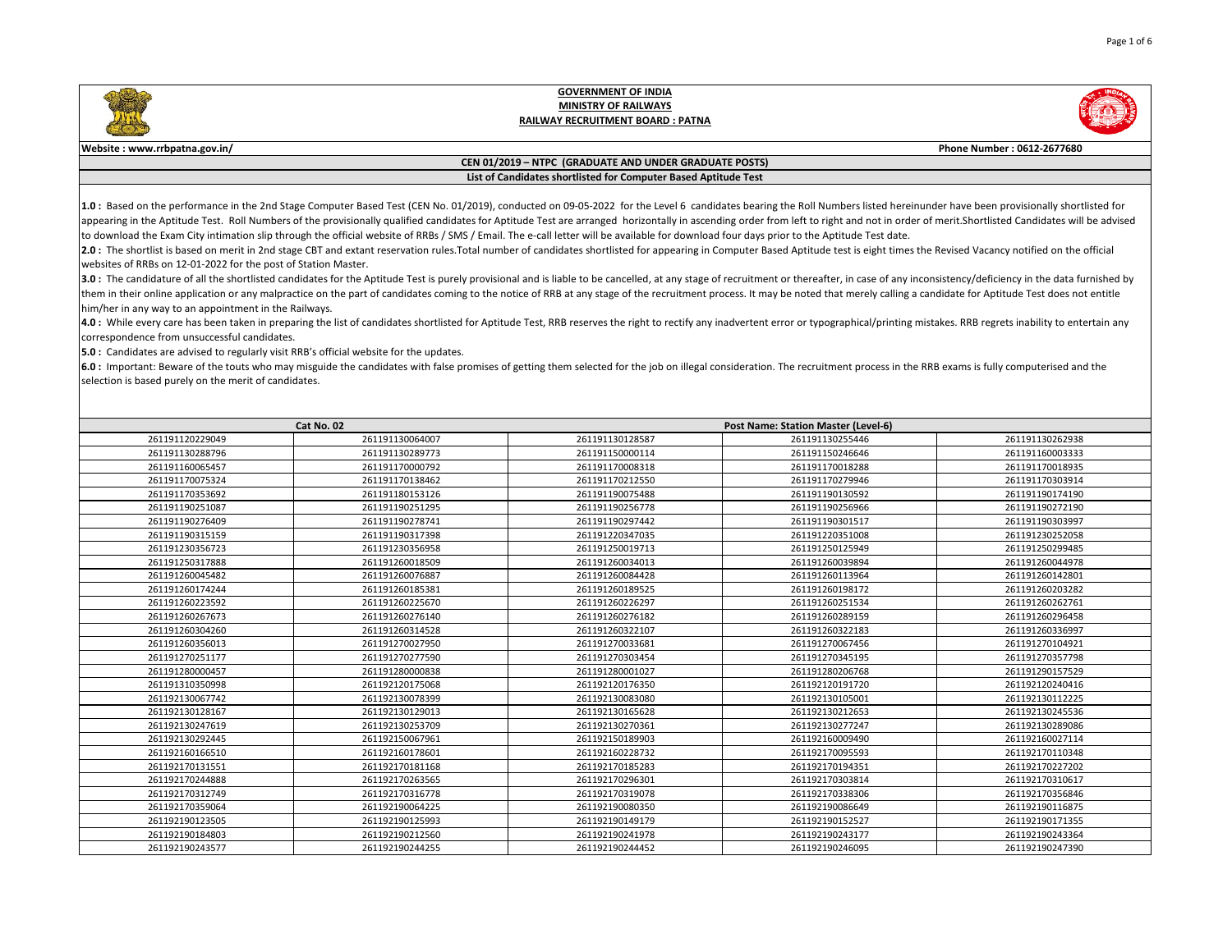



**Website : www.rrbpatna.gov.in/ Phone Number : 0612-2677680**

### **CEN 01/2019 – NTPC (GRADUATE AND UNDER GRADUATE POSTS) List of Candidates shortlisted for Computer Based Aptitude Test**

1.0: Based on the performance in the 2nd Stage Computer Based Test (CEN No. 01/2019), conducted on 09-05-2022 for the Level 6 candidates bearing the Roll Numbers listed hereinunder have been provisionally shortlisted for appearing in the Aptitude Test. Roll Numbers of the provisionally qualified candidates for Aptitude Test are arranged horizontally in ascending order from left to right and not in order of merit.Shortlisted Candidates will to download the Exam City intimation slip through the official website of RRBs / SMS / Email. The e-call letter will be available for download four days prior to the Aptitude Test date.

2.0: The shortlist is based on merit in 2nd stage CBT and extant reservation rules. Total number of candidates shortlisted for appearing in Computer Based Aptitude test is eight times the Revised Vacancy notified on the of websites of RRBs on 12-01-2022 for the post of Station Master.

3.0 : The candidature of all the shortlisted candidates for the Aptitude Test is purely provisional and is liable to be cancelled, at any stage of recruitment or thereafter, in case of any inconsistency/deficiency in the d them in their online application or any malpractice on the part of candidates coming to the notice of RRB at any stage of the recruitment process. It may be noted that merely calling a candidate for Aptitude Test does not him/her in any way to an appointment in the Railways.

4.0: While every care has been taken in preparing the list of candidates shortlisted for Aptitude Test, RRB reserves the right to rectify any inadvertent error or typographical/printing mistakes. RRB regrets inability to e correspondence from unsuccessful candidates.

**5.0 :** Candidates are advised to regularly visit RRB's official website for the updates.

6.0 : Important: Beware of the touts who may misguide the candidates with false promises of getting them selected for the job on illegal consideration. The recruitment process in the RRB exams is fully computerised and the selection is based purely on the merit of candidates.

| Cat No. 02      |                 |                 | Post Name: Station Master (Level-6) |                 |  |
|-----------------|-----------------|-----------------|-------------------------------------|-----------------|--|
| 261191120229049 | 261191130064007 | 261191130128587 | 261191130255446                     | 261191130262938 |  |
| 261191130288796 | 261191130289773 | 261191150000114 | 261191150246646                     | 261191160003333 |  |
| 261191160065457 | 261191170000792 | 261191170008318 | 261191170018288                     | 261191170018935 |  |
| 261191170075324 | 261191170138462 | 261191170212550 | 261191170279946                     | 261191170303914 |  |
| 261191170353692 | 261191180153126 | 261191190075488 | 261191190130592                     | 261191190174190 |  |
| 261191190251087 | 261191190251295 | 261191190256778 | 261191190256966                     | 261191190272190 |  |
| 261191190276409 | 261191190278741 | 261191190297442 | 261191190301517                     | 261191190303997 |  |
| 261191190315159 | 261191190317398 | 261191220347035 | 261191220351008                     | 261191230252058 |  |
| 261191230356723 | 261191230356958 | 261191250019713 | 261191250125949                     | 261191250299485 |  |
| 261191250317888 | 261191260018509 | 261191260034013 | 261191260039894                     | 261191260044978 |  |
| 261191260045482 | 261191260076887 | 261191260084428 | 261191260113964                     | 261191260142801 |  |
| 261191260174244 | 261191260185381 | 261191260189525 | 261191260198172                     | 261191260203282 |  |
| 261191260223592 | 261191260225670 | 261191260226297 | 261191260251534                     | 261191260262761 |  |
| 261191260267673 | 261191260276140 | 261191260276182 | 261191260289159                     | 261191260296458 |  |
| 261191260304260 | 261191260314528 | 261191260322107 | 261191260322183                     | 261191260336997 |  |
| 261191260356013 | 261191270027950 | 261191270033681 | 261191270067456                     | 261191270104921 |  |
| 261191270251177 | 261191270277590 | 261191270303454 | 261191270345195                     | 261191270357798 |  |
| 261191280000457 | 261191280000838 | 261191280001027 | 261191280206768                     | 261191290157529 |  |
| 261191310350998 | 261192120175068 | 261192120176350 | 261192120191720                     | 261192120240416 |  |
| 261192130067742 | 261192130078399 | 261192130083080 | 261192130105001                     | 261192130112225 |  |
| 261192130128167 | 261192130129013 | 261192130165628 | 261192130212653                     | 261192130245536 |  |
| 261192130247619 | 261192130253709 | 261192130270361 | 261192130277247                     | 261192130289086 |  |
| 261192130292445 | 261192150067961 | 261192150189903 | 261192160009490                     | 261192160027114 |  |
| 261192160166510 | 261192160178601 | 261192160228732 | 261192170095593                     | 261192170110348 |  |
| 261192170131551 | 261192170181168 | 261192170185283 | 261192170194351                     | 261192170227202 |  |
| 261192170244888 | 261192170263565 | 261192170296301 | 261192170303814                     | 261192170310617 |  |
| 261192170312749 | 261192170316778 | 261192170319078 | 261192170338306                     | 261192170356846 |  |
| 261192170359064 | 261192190064225 | 261192190080350 | 261192190086649                     | 261192190116875 |  |
| 261192190123505 | 261192190125993 | 261192190149179 | 261192190152527                     | 261192190171355 |  |
| 261192190184803 | 261192190212560 | 261192190241978 | 261192190243177                     | 261192190243364 |  |
| 261192190243577 | 261192190244255 | 261192190244452 | 261192190246095                     | 261192190247390 |  |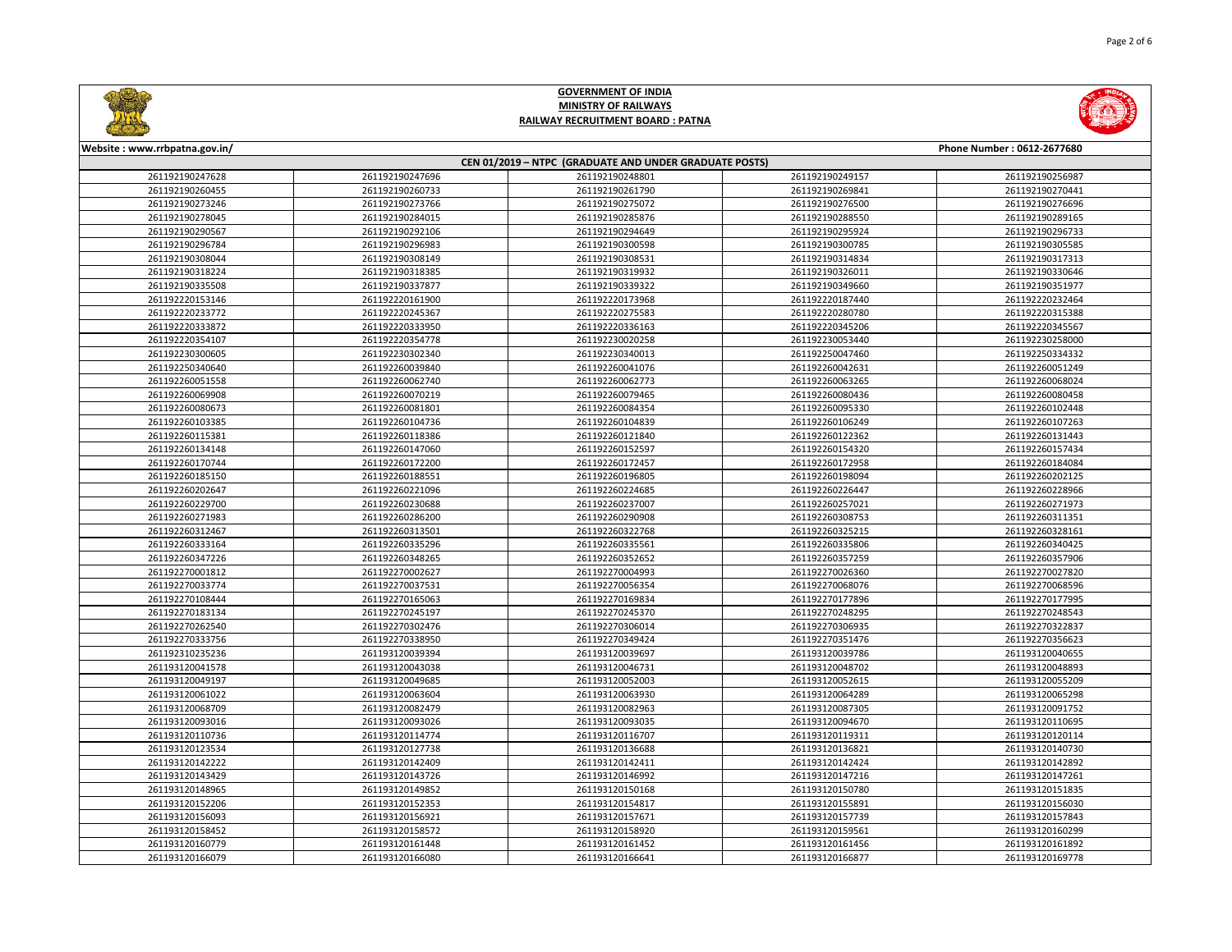

| Website: www.rrbpatna.gov.in/<br>Phone Number: 0612-2677680 |                 |                 |                 |                 |  |  |
|-------------------------------------------------------------|-----------------|-----------------|-----------------|-----------------|--|--|
| CEN 01/2019 - NTPC (GRADUATE AND UNDER GRADUATE POSTS)      |                 |                 |                 |                 |  |  |
| 261192190247628                                             | 261192190247696 | 261192190248801 | 261192190249157 | 261192190256987 |  |  |
| 261192190260455                                             | 261192190260733 | 261192190261790 | 261192190269841 | 261192190270441 |  |  |
| 261192190273246                                             | 261192190273766 | 261192190275072 | 261192190276500 | 261192190276696 |  |  |
| 261192190278045                                             | 261192190284015 | 261192190285876 | 261192190288550 | 261192190289165 |  |  |
| 261192190290567                                             | 261192190292106 | 261192190294649 | 261192190295924 | 261192190296733 |  |  |
| 261192190296784                                             | 261192190296983 | 261192190300598 | 261192190300785 | 261192190305585 |  |  |
| 261192190308044                                             | 261192190308149 | 261192190308531 | 261192190314834 | 261192190317313 |  |  |
| 261192190318224                                             | 261192190318385 | 261192190319932 | 261192190326011 | 261192190330646 |  |  |
| 261192190335508                                             | 261192190337877 | 261192190339322 | 261192190349660 | 261192190351977 |  |  |
| 261192220153146                                             | 261192220161900 | 261192220173968 | 261192220187440 | 261192220232464 |  |  |
| 261192220233772                                             | 261192220245367 | 261192220275583 | 261192220280780 | 261192220315388 |  |  |
| 261192220333872                                             | 261192220333950 | 261192220336163 | 261192220345206 | 261192220345567 |  |  |
| 261192220354107                                             | 261192220354778 | 261192230020258 | 261192230053440 | 261192230258000 |  |  |
| 261192230300605                                             | 261192230302340 | 261192230340013 | 261192250047460 | 261192250334332 |  |  |
| 261192250340640                                             | 261192260039840 | 261192260041076 | 261192260042631 | 261192260051249 |  |  |
| 261192260051558                                             | 261192260062740 | 261192260062773 | 261192260063265 | 261192260068024 |  |  |
| 261192260069908                                             | 261192260070219 | 261192260079465 | 261192260080436 | 261192260080458 |  |  |
| 261192260080673                                             | 261192260081801 | 261192260084354 | 261192260095330 | 261192260102448 |  |  |
| 261192260103385                                             | 261192260104736 | 261192260104839 | 261192260106249 | 261192260107263 |  |  |
| 261192260115381                                             | 261192260118386 | 261192260121840 | 261192260122362 | 261192260131443 |  |  |
| 261192260134148                                             | 261192260147060 | 261192260152597 | 261192260154320 | 261192260157434 |  |  |
| 261192260170744                                             | 261192260172200 | 261192260172457 | 261192260172958 | 261192260184084 |  |  |
| 261192260185150                                             | 261192260188551 | 261192260196805 | 261192260198094 | 261192260202125 |  |  |
| 261192260202647                                             | 261192260221096 | 261192260224685 | 261192260226447 | 261192260228966 |  |  |
| 261192260229700                                             | 261192260230688 | 261192260237007 | 261192260257021 | 261192260271973 |  |  |
| 261192260271983                                             | 261192260286200 | 261192260290908 | 261192260308753 | 261192260311351 |  |  |
| 261192260312467                                             | 261192260313501 | 261192260322768 | 261192260325215 | 261192260328161 |  |  |
| 261192260333164                                             | 261192260335296 | 261192260335561 | 261192260335806 | 261192260340425 |  |  |
| 261192260347226                                             | 261192260348265 | 261192260352652 | 261192260357259 | 261192260357906 |  |  |
| 261192270001812                                             | 261192270002627 | 261192270004993 | 261192270026360 | 261192270027820 |  |  |
| 261192270033774                                             | 261192270037531 | 261192270056354 | 261192270068076 | 261192270068596 |  |  |
| 261192270108444                                             | 261192270165063 | 261192270169834 | 261192270177896 | 261192270177995 |  |  |
| 261192270183134                                             | 261192270245197 | 261192270245370 | 261192270248295 | 261192270248543 |  |  |
| 261192270262540                                             | 261192270302476 | 261192270306014 | 261192270306935 | 261192270322837 |  |  |
| 261192270333756                                             | 261192270338950 | 261192270349424 | 261192270351476 | 261192270356623 |  |  |
| 261192310235236                                             | 261193120039394 | 261193120039697 | 261193120039786 | 261193120040655 |  |  |
| 261193120041578                                             | 261193120043038 | 261193120046731 | 261193120048702 | 261193120048893 |  |  |
| 261193120049197                                             | 261193120049685 | 261193120052003 | 261193120052615 | 261193120055209 |  |  |
| 261193120061022                                             | 261193120063604 | 261193120063930 | 261193120064289 | 261193120065298 |  |  |
| 261193120068709                                             | 261193120082479 | 261193120082963 | 261193120087305 | 261193120091752 |  |  |
| 261193120093016                                             | 261193120093026 | 261193120093035 | 261193120094670 | 261193120110695 |  |  |
| 261193120110736                                             | 261193120114774 | 261193120116707 | 261193120119311 | 261193120120114 |  |  |
| 261193120123534                                             | 261193120127738 | 261193120136688 | 261193120136821 | 261193120140730 |  |  |
| 261193120142222                                             | 261193120142409 | 261193120142411 | 261193120142424 | 261193120142892 |  |  |
| 261193120143429                                             | 261193120143726 | 261193120146992 | 261193120147216 | 261193120147261 |  |  |
| 261193120148965                                             | 261193120149852 | 261193120150168 | 261193120150780 | 261193120151835 |  |  |
| 261193120152206                                             | 261193120152353 | 261193120154817 | 261193120155891 | 261193120156030 |  |  |
| 261193120156093                                             | 261193120156921 | 261193120157671 | 261193120157739 | 261193120157843 |  |  |
| 261193120158452                                             | 261193120158572 | 261193120158920 | 261193120159561 | 261193120160299 |  |  |
| 261193120160779                                             | 261193120161448 | 261193120161452 | 261193120161456 | 261193120161892 |  |  |
| 261193120166079                                             | 261193120166080 | 261193120166641 | 261193120166877 | 261193120169778 |  |  |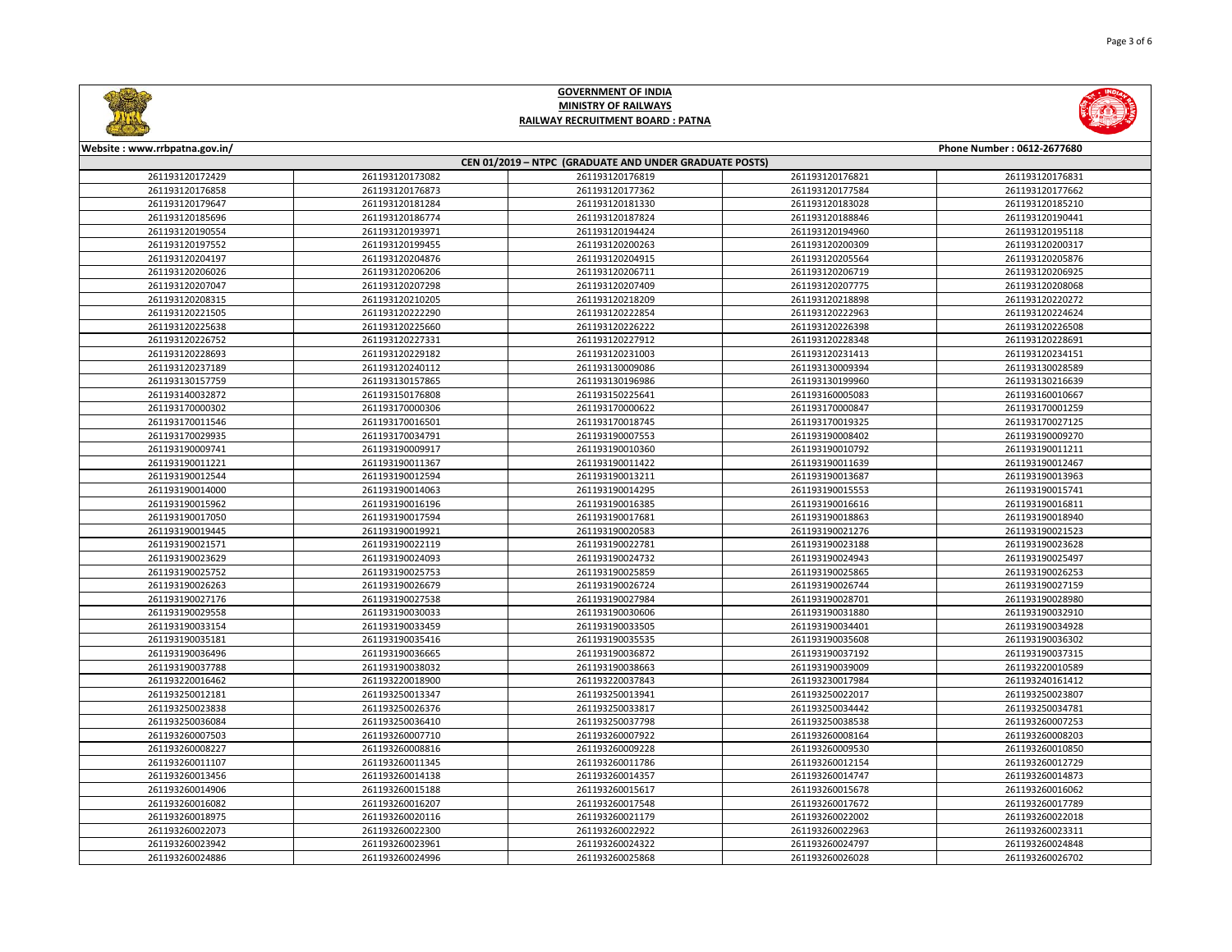

| Website: www.rrbpatna.gov.in/<br>Phone Number: 0612-2677680 |                 |                 |                 |                 |  |  |
|-------------------------------------------------------------|-----------------|-----------------|-----------------|-----------------|--|--|
| CEN 01/2019 - NTPC (GRADUATE AND UNDER GRADUATE POSTS)      |                 |                 |                 |                 |  |  |
| 261193120172429                                             | 261193120173082 | 261193120176819 | 261193120176821 | 261193120176831 |  |  |
| 261193120176858                                             | 261193120176873 | 261193120177362 | 261193120177584 | 261193120177662 |  |  |
| 261193120179647                                             | 261193120181284 | 261193120181330 | 261193120183028 | 261193120185210 |  |  |
| 261193120185696                                             | 261193120186774 | 261193120187824 | 261193120188846 | 261193120190441 |  |  |
| 261193120190554                                             | 261193120193971 | 261193120194424 | 261193120194960 | 261193120195118 |  |  |
| 261193120197552                                             | 261193120199455 | 261193120200263 | 261193120200309 | 261193120200317 |  |  |
| 261193120204197                                             | 261193120204876 | 261193120204915 | 261193120205564 | 261193120205876 |  |  |
| 261193120206026                                             | 261193120206206 | 261193120206711 | 261193120206719 | 261193120206925 |  |  |
| 261193120207047                                             | 261193120207298 | 261193120207409 | 261193120207775 | 261193120208068 |  |  |
| 261193120208315                                             | 261193120210205 | 261193120218209 | 261193120218898 | 261193120220272 |  |  |
| 261193120221505                                             | 261193120222290 | 261193120222854 | 261193120222963 | 261193120224624 |  |  |
| 261193120225638                                             | 261193120225660 | 261193120226222 | 261193120226398 | 261193120226508 |  |  |
| 261193120226752                                             | 261193120227331 | 261193120227912 | 261193120228348 | 261193120228691 |  |  |
| 261193120228693                                             | 261193120229182 | 261193120231003 | 261193120231413 | 261193120234151 |  |  |
| 261193120237189                                             | 261193120240112 | 261193130009086 | 261193130009394 | 261193130028589 |  |  |
| 261193130157759                                             | 261193130157865 | 261193130196986 | 261193130199960 | 261193130216639 |  |  |
| 261193140032872                                             | 261193150176808 | 261193150225641 | 261193160005083 | 261193160010667 |  |  |
| 261193170000302                                             | 261193170000306 | 261193170000622 | 261193170000847 | 261193170001259 |  |  |
| 261193170011546                                             | 261193170016501 | 261193170018745 | 261193170019325 | 261193170027125 |  |  |
| 261193170029935                                             | 261193170034791 | 261193190007553 | 261193190008402 | 261193190009270 |  |  |
| 261193190009741                                             | 261193190009917 | 261193190010360 | 261193190010792 | 261193190011211 |  |  |
| 261193190011221                                             | 261193190011367 | 261193190011422 | 261193190011639 | 261193190012467 |  |  |
| 261193190012544                                             | 261193190012594 | 261193190013211 | 261193190013687 | 261193190013963 |  |  |
| 261193190014000                                             | 261193190014063 | 261193190014295 | 261193190015553 | 261193190015741 |  |  |
| 261193190015962                                             | 261193190016196 | 261193190016385 | 261193190016616 | 261193190016811 |  |  |
| 261193190017050                                             | 261193190017594 | 261193190017681 | 261193190018863 | 261193190018940 |  |  |
| 261193190019445                                             | 261193190019921 | 261193190020583 | 261193190021276 | 261193190021523 |  |  |
| 261193190021571                                             | 261193190022119 | 261193190022781 | 261193190023188 | 261193190023628 |  |  |
| 261193190023629                                             | 261193190024093 | 261193190024732 | 261193190024943 | 261193190025497 |  |  |
| 261193190025752                                             | 261193190025753 | 261193190025859 | 261193190025865 | 261193190026253 |  |  |
| 261193190026263                                             | 261193190026679 | 261193190026724 | 261193190026744 | 261193190027159 |  |  |
| 261193190027176                                             | 261193190027538 | 261193190027984 | 261193190028701 | 261193190028980 |  |  |
| 261193190029558                                             | 261193190030033 | 261193190030606 | 261193190031880 | 261193190032910 |  |  |
| 261193190033154                                             | 261193190033459 | 261193190033505 | 261193190034401 | 261193190034928 |  |  |
| 261193190035181                                             | 261193190035416 | 261193190035535 | 261193190035608 | 261193190036302 |  |  |
| 261193190036496                                             | 261193190036665 | 261193190036872 | 261193190037192 | 261193190037315 |  |  |
| 261193190037788                                             | 261193190038032 | 261193190038663 | 261193190039009 | 261193220010589 |  |  |
| 261193220016462                                             | 261193220018900 | 261193220037843 | 261193230017984 | 261193240161412 |  |  |
| 261193250012181                                             | 261193250013347 | 261193250013941 | 261193250022017 | 261193250023807 |  |  |
| 261193250023838                                             | 261193250026376 | 261193250033817 | 261193250034442 | 261193250034781 |  |  |
| 261193250036084                                             | 261193250036410 | 261193250037798 | 261193250038538 | 261193260007253 |  |  |
| 261193260007503                                             | 261193260007710 | 261193260007922 | 261193260008164 | 261193260008203 |  |  |
| 261193260008227                                             | 261193260008816 | 261193260009228 | 261193260009530 | 261193260010850 |  |  |
| 261193260011107                                             | 261193260011345 | 261193260011786 | 261193260012154 | 261193260012729 |  |  |
| 261193260013456                                             | 261193260014138 | 261193260014357 | 261193260014747 | 261193260014873 |  |  |
| 261193260014906                                             | 261193260015188 | 261193260015617 | 261193260015678 | 261193260016062 |  |  |
| 261193260016082                                             | 261193260016207 | 261193260017548 | 261193260017672 | 261193260017789 |  |  |
| 261193260018975                                             | 261193260020116 | 261193260021179 | 261193260022002 | 261193260022018 |  |  |
| 261193260022073                                             | 261193260022300 | 261193260022922 | 261193260022963 | 261193260023311 |  |  |
| 261193260023942                                             | 261193260023961 | 261193260024322 | 261193260024797 | 261193260024848 |  |  |
| 261193260024886                                             | 261193260024996 | 261193260025868 | 261193260026028 | 261193260026702 |  |  |
|                                                             |                 |                 |                 |                 |  |  |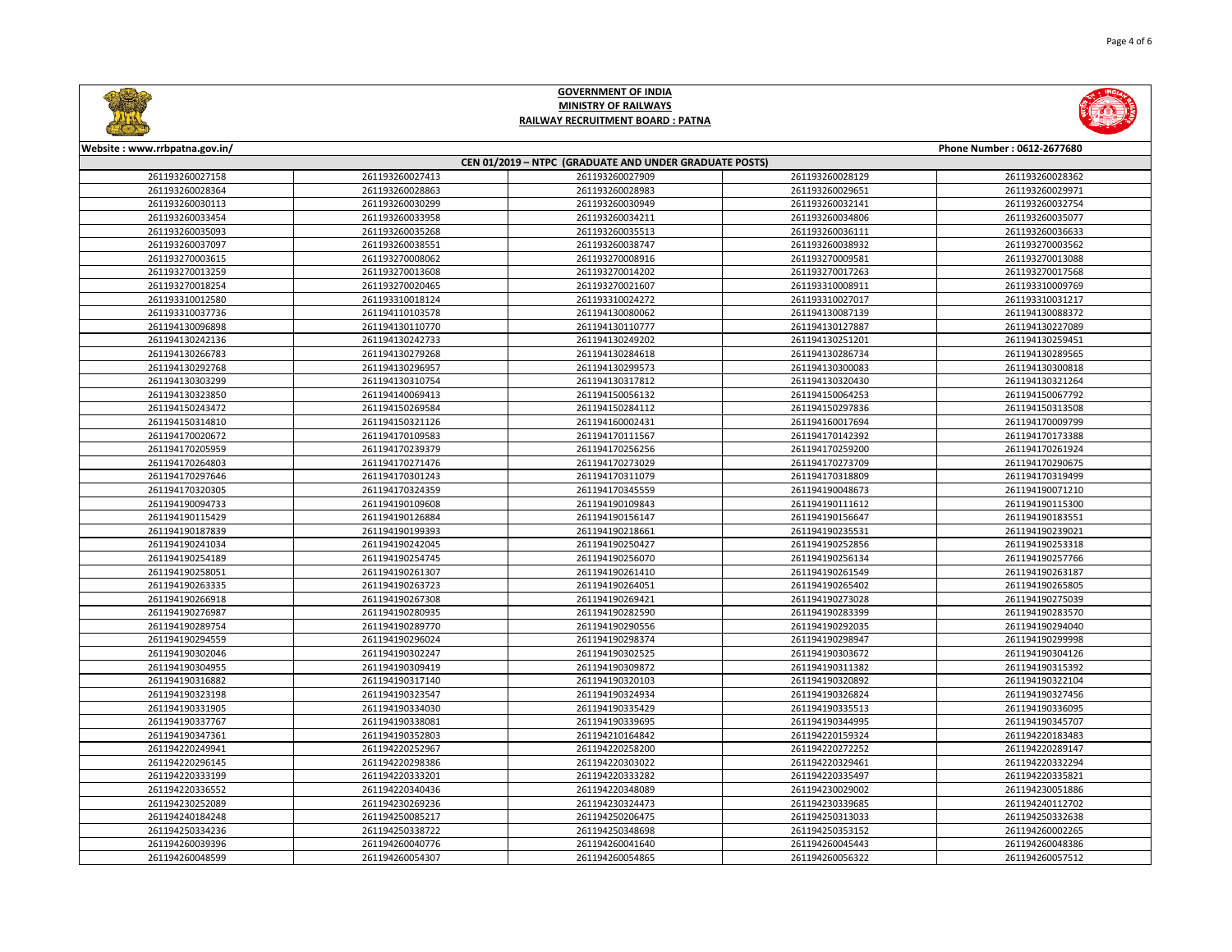

| Website: www.rrbpatna.gov.in/                          |                 |                 |                 | Phone Number: 0612-2677680 |  |
|--------------------------------------------------------|-----------------|-----------------|-----------------|----------------------------|--|
| CEN 01/2019 - NTPC (GRADUATE AND UNDER GRADUATE POSTS) |                 |                 |                 |                            |  |
| 261193260027158                                        | 261193260027413 | 261193260027909 | 261193260028129 | 261193260028362            |  |
| 261193260028364                                        | 261193260028863 | 261193260028983 | 261193260029651 | 261193260029971            |  |
| 261193260030113                                        | 261193260030299 | 261193260030949 | 261193260032141 | 261193260032754            |  |
| 261193260033454                                        | 261193260033958 | 261193260034211 | 261193260034806 | 261193260035077            |  |
| 261193260035093                                        | 261193260035268 | 261193260035513 | 261193260036111 | 261193260036633            |  |
| 261193260037097                                        | 261193260038551 | 261193260038747 | 261193260038932 | 261193270003562            |  |
| 261193270003615                                        | 261193270008062 | 261193270008916 | 261193270009581 | 261193270013088            |  |
| 261193270013259                                        | 261193270013608 | 261193270014202 | 261193270017263 | 261193270017568            |  |
| 261193270018254                                        | 261193270020465 | 261193270021607 | 261193310008911 | 261193310009769            |  |
| 261193310012580                                        | 261193310018124 | 261193310024272 | 261193310027017 | 261193310031217            |  |
| 261193310037736                                        | 261194110103578 | 261194130080062 | 261194130087139 | 261194130088372            |  |
| 261194130096898                                        | 261194130110770 | 261194130110777 | 261194130127887 | 261194130227089            |  |
| 261194130242136                                        | 261194130242733 | 261194130249202 | 261194130251201 | 261194130259451            |  |
| 261194130266783                                        | 261194130279268 | 261194130284618 | 261194130286734 | 261194130289565            |  |
| 261194130292768                                        | 261194130296957 | 261194130299573 | 261194130300083 | 261194130300818            |  |
| 261194130303299                                        | 261194130310754 | 261194130317812 | 261194130320430 | 261194130321264            |  |
| 261194130323850                                        | 261194140069413 | 261194150056132 | 261194150064253 | 261194150067792            |  |
| 261194150243472                                        | 261194150269584 | 261194150284112 | 261194150297836 | 261194150313508            |  |
| 261194150314810                                        | 261194150321126 | 261194160002431 | 261194160017694 | 261194170009799            |  |
| 261194170020672                                        | 261194170109583 | 261194170111567 | 261194170142392 | 261194170173388            |  |
| 261194170205959                                        | 261194170239379 | 261194170256256 | 261194170259200 | 261194170261924            |  |
| 261194170264803                                        | 261194170271476 | 261194170273029 | 261194170273709 | 261194170290675            |  |
| 261194170297646                                        | 261194170301243 | 261194170311079 | 261194170318809 | 261194170319499            |  |
| 261194170320305                                        | 261194170324359 | 261194170345559 | 261194190048673 | 261194190071210            |  |
| 261194190094733                                        | 261194190109608 | 261194190109843 | 261194190111612 | 261194190115300            |  |
| 261194190115429                                        | 261194190126884 | 261194190156147 | 261194190156647 | 261194190183551            |  |
| 261194190187839                                        | 261194190199393 | 261194190218661 | 261194190235531 | 261194190239021            |  |
| 261194190241034                                        | 261194190242045 | 261194190250427 | 261194190252856 | 261194190253318            |  |
| 261194190254189                                        | 261194190254745 | 261194190256070 | 261194190256134 | 261194190257766            |  |
| 261194190258051                                        | 261194190261307 | 261194190261410 | 261194190261549 | 261194190263187            |  |
| 261194190263335                                        | 261194190263723 | 261194190264051 | 261194190265402 | 261194190265805            |  |
| 261194190266918                                        | 261194190267308 | 261194190269421 | 261194190273028 | 261194190275039            |  |
| 261194190276987                                        | 261194190280935 | 261194190282590 | 261194190283399 | 261194190283570            |  |
| 261194190289754                                        | 261194190289770 | 261194190290556 | 261194190292035 | 261194190294040            |  |
| 261194190294559                                        | 261194190296024 | 261194190298374 | 261194190298947 | 261194190299998            |  |
| 261194190302046                                        | 261194190302247 | 261194190302525 | 261194190303672 | 261194190304126            |  |
| 261194190304955                                        | 261194190309419 | 261194190309872 | 261194190311382 | 261194190315392            |  |
| 261194190316882                                        | 261194190317140 | 261194190320103 | 261194190320892 | 261194190322104            |  |
| 261194190323198                                        | 261194190323547 | 261194190324934 | 261194190326824 | 261194190327456            |  |
| 261194190331905                                        | 261194190334030 | 261194190335429 | 261194190335513 | 261194190336095            |  |
| 261194190337767                                        | 261194190338081 | 261194190339695 | 261194190344995 | 261194190345707            |  |
| 261194190347361                                        | 261194190352803 | 261194210164842 | 261194220159324 | 261194220183483            |  |
| 261194220249941                                        | 261194220252967 | 261194220258200 | 261194220272252 | 261194220289147            |  |
| 261194220296145                                        | 261194220298386 | 261194220303022 | 261194220329461 | 261194220332294            |  |
| 261194220333199                                        | 261194220333201 | 261194220333282 | 261194220335497 | 261194220335821            |  |
| 261194220336552                                        | 261194220340436 | 261194220348089 | 261194230029002 | 261194230051886            |  |
| 261194230252089                                        | 261194230269236 | 261194230324473 | 261194230339685 | 261194240112702            |  |
| 261194240184248                                        | 261194250085217 | 261194250206475 | 261194250313033 | 261194250332638            |  |
| 261194250334236                                        | 261194250338722 | 261194250348698 | 261194250353152 | 261194260002265            |  |
| 261194260039396                                        | 261194260040776 | 261194260041640 | 261194260045443 | 261194260048386            |  |
| 261194260048599                                        | 261194260054307 | 261194260054865 | 261194260056322 | 261194260057512            |  |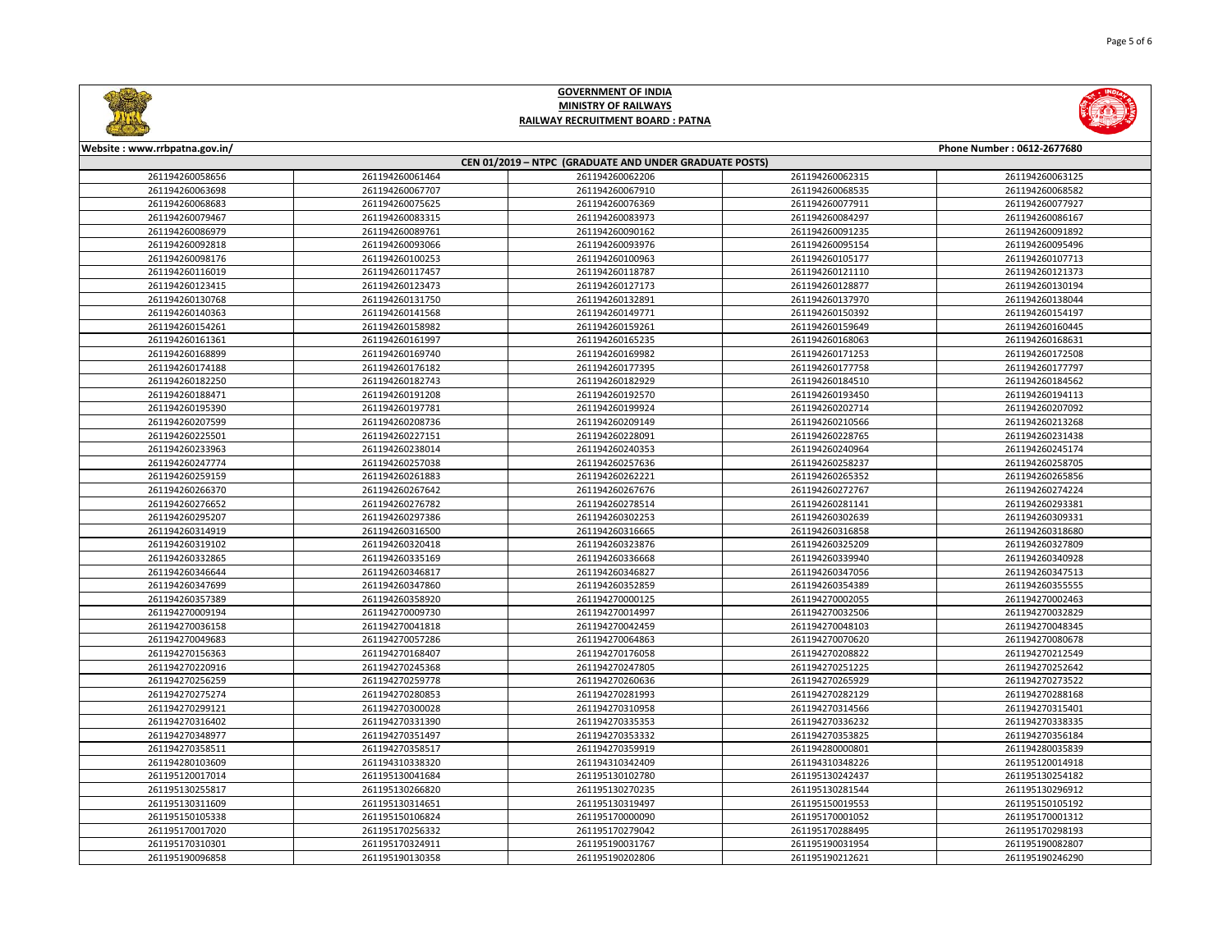

| Website: www.rrbpatna.gov.in/<br>Phone Number: 0612-2677680 |                                    |                                    |                                    |                                    |  |  |
|-------------------------------------------------------------|------------------------------------|------------------------------------|------------------------------------|------------------------------------|--|--|
| CEN 01/2019 - NTPC (GRADUATE AND UNDER GRADUATE POSTS)      |                                    |                                    |                                    |                                    |  |  |
| 261194260058656                                             | 261194260061464                    | 261194260062206                    | 261194260062315                    | 261194260063125                    |  |  |
| 261194260063698                                             | 261194260067707                    | 261194260067910                    | 261194260068535                    | 261194260068582                    |  |  |
| 261194260068683                                             | 261194260075625                    | 261194260076369                    | 261194260077911                    | 261194260077927                    |  |  |
| 261194260079467                                             | 261194260083315                    | 261194260083973                    | 261194260084297                    | 261194260086167                    |  |  |
| 261194260086979                                             | 261194260089761                    | 261194260090162                    | 261194260091235                    | 261194260091892                    |  |  |
| 261194260092818                                             | 261194260093066                    | 261194260093976                    | 261194260095154                    | 261194260095496                    |  |  |
| 261194260098176                                             | 261194260100253                    | 261194260100963                    | 261194260105177                    | 261194260107713                    |  |  |
| 261194260116019                                             | 261194260117457                    | 261194260118787                    | 261194260121110                    | 261194260121373                    |  |  |
| 261194260123415                                             | 261194260123473                    | 261194260127173                    | 261194260128877                    | 261194260130194                    |  |  |
| 261194260130768                                             | 261194260131750                    | 261194260132891                    | 261194260137970                    | 261194260138044                    |  |  |
| 261194260140363                                             | 261194260141568                    | 261194260149771                    | 261194260150392                    | 261194260154197                    |  |  |
| 261194260154261                                             | 261194260158982                    | 261194260159261                    | 261194260159649                    | 261194260160445                    |  |  |
| 261194260161361                                             | 261194260161997                    | 261194260165235                    | 261194260168063                    | 261194260168631                    |  |  |
| 261194260168899                                             | 261194260169740                    | 261194260169982                    | 261194260171253                    | 261194260172508                    |  |  |
| 261194260174188                                             | 261194260176182                    | 261194260177395                    | 261194260177758                    | 261194260177797                    |  |  |
| 261194260182250                                             | 261194260182743                    | 261194260182929                    | 261194260184510                    | 261194260184562                    |  |  |
| 261194260188471                                             | 261194260191208                    | 261194260192570                    | 261194260193450                    | 261194260194113                    |  |  |
| 261194260195390                                             | 261194260197781                    | 261194260199924                    | 261194260202714                    | 261194260207092                    |  |  |
| 261194260207599                                             | 261194260208736                    | 261194260209149                    | 261194260210566                    | 261194260213268                    |  |  |
| 261194260225501                                             | 261194260227151                    | 261194260228091                    | 261194260228765                    | 261194260231438                    |  |  |
| 261194260233963                                             | 261194260238014                    | 261194260240353                    | 261194260240964                    | 261194260245174                    |  |  |
| 261194260247774                                             | 261194260257038                    | 261194260257636                    | 261194260258237                    | 261194260258705                    |  |  |
| 261194260259159                                             | 261194260261883                    | 261194260262221                    | 261194260265352                    | 261194260265856                    |  |  |
| 261194260266370                                             | 261194260267642                    | 261194260267676                    | 261194260272767                    | 261194260274224                    |  |  |
| 261194260276652                                             | 261194260276782                    | 261194260278514                    | 261194260281141                    | 261194260293381                    |  |  |
| 261194260295207                                             | 261194260297386                    | 261194260302253                    | 261194260302639                    | 261194260309331                    |  |  |
| 261194260314919                                             | 261194260316500                    | 261194260316665                    | 261194260316858                    | 261194260318680                    |  |  |
| 261194260319102                                             | 261194260320418                    | 261194260323876                    | 261194260325209                    | 261194260327809                    |  |  |
| 261194260332865                                             | 261194260335169                    | 261194260336668                    | 261194260339940                    | 261194260340928                    |  |  |
| 261194260346644                                             | 261194260346817                    | 261194260346827                    | 261194260347056                    | 261194260347513                    |  |  |
| 261194260347699                                             | 261194260347860                    | 261194260352859                    | 261194260354389                    | 261194260355555                    |  |  |
| 261194260357389                                             | 261194260358920                    | 261194270000125                    | 261194270002055                    | 261194270002463                    |  |  |
| 261194270009194                                             | 261194270009730                    | 261194270014997                    | 261194270032506                    | 261194270032829                    |  |  |
| 261194270036158                                             | 261194270041818                    | 261194270042459                    | 261194270048103                    | 261194270048345                    |  |  |
| 261194270049683                                             | 261194270057286                    | 261194270064863                    | 261194270070620                    | 261194270080678                    |  |  |
| 261194270156363                                             | 261194270168407                    | 261194270176058                    | 261194270208822                    | 261194270212549                    |  |  |
| 261194270220916                                             | 261194270245368                    | 261194270247805                    | 261194270251225                    | 261194270252642                    |  |  |
| 261194270256259                                             | 261194270259778                    | 261194270260636                    | 261194270265929                    | 261194270273522                    |  |  |
| 261194270275274                                             | 261194270280853                    | 261194270281993                    | 261194270282129                    | 261194270288168                    |  |  |
| 261194270299121                                             | 261194270300028                    | 261194270310958                    | 261194270314566                    | 261194270315401                    |  |  |
| 261194270316402                                             | 261194270331390                    | 261194270335353                    | 261194270336232                    | 261194270338335                    |  |  |
| 261194270348977                                             | 261194270351497                    | 261194270353332                    | 261194270353825                    | 261194270356184                    |  |  |
| 261194270358511                                             | 261194270358517                    | 261194270359919                    | 261194280000801                    | 261194280035839                    |  |  |
| 261194280103609                                             | 261194310338320                    | 261194310342409                    | 261194310348226                    | 261195120014918                    |  |  |
| 261195120017014                                             | 261195130041684                    | 261195130102780                    | 261195130242437                    | 261195130254182                    |  |  |
| 261195130255817                                             | 261195130266820                    | 261195130270235                    | 261195130281544                    | 261195130296912                    |  |  |
| 261195130311609                                             | 261195130314651                    | 261195130319497                    | 261195150019553                    | 261195150105192                    |  |  |
| 261195150105338                                             | 261195150106824                    | 261195170000090                    | 261195170001052                    | 261195170001312                    |  |  |
| 261195170017020<br>261195170310301                          | 261195170256332<br>261195170324911 | 261195170279042<br>261195190031767 | 261195170288495<br>261195190031954 | 261195170298193<br>261195190082807 |  |  |
|                                                             |                                    |                                    |                                    |                                    |  |  |
| 261195190096858                                             | 261195190130358                    | 261195190202806                    | 261195190212621                    | 261195190246290                    |  |  |